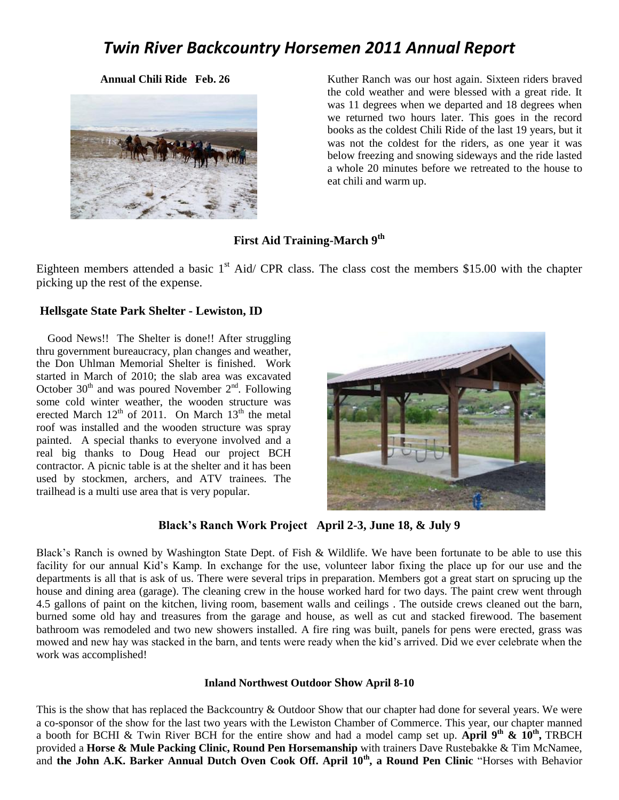# *Twin River Backcountry Horsemen 2011 Annual Report*



**Annual Chili Ride Feb. 26** Kuther Ranch was our host again. Sixteen riders braved the cold weather and were blessed with a great ride. It was 11 degrees when we departed and 18 degrees when we returned two hours later. This goes in the record books as the coldest Chili Ride of the last 19 years, but it was not the coldest for the riders, as one year it was below freezing and snowing sideways and the ride lasted a whole 20 minutes before we retreated to the house to eat chili and warm up.

#### **First Aid Training-March 9th**

Eighteen members attended a basic  $1<sup>st</sup>$  Aid/ CPR class. The class cost the members \$15.00 with the chapter picking up the rest of the expense.

#### **Hellsgate State Park Shelter - Lewiston, ID**

 Good News!! The Shelter is done!! After struggling thru government bureaucracy, plan changes and weather, the Don Uhlman Memorial Shelter is finished. Work started in March of 2010; the slab area was excavated October  $30<sup>th</sup>$  and was poured November  $2<sup>nd</sup>$ . Following some cold winter weather, the wooden structure was erected March  $12<sup>th</sup>$  of 2011. On March  $13<sup>th</sup>$  the metal roof was installed and the wooden structure was spray painted. A special thanks to everyone involved and a real big thanks to Doug Head our project BCH contractor. A picnic table is at the shelter and it has been used by stockmen, archers, and ATV trainees. The trailhead is a multi use area that is very popular.



#### **Black's Ranch Work Project April 2-3, June 18, & July 9**

Black's Ranch is owned by Washington State Dept. of Fish & Wildlife. We have been fortunate to be able to use this facility for our annual Kid's Kamp. In exchange for the use, volunteer labor fixing the place up for our use and the departments is all that is ask of us. There were several trips in preparation. Members got a great start on sprucing up the house and dining area (garage). The cleaning crew in the house worked hard for two days. The paint crew went through 4.5 gallons of paint on the kitchen, living room, basement walls and ceilings . The outside crews cleaned out the barn, burned some old hay and treasures from the garage and house, as well as cut and stacked firewood. The basement bathroom was remodeled and two new showers installed. A fire ring was built, panels for pens were erected, grass was mowed and new hay was stacked in the barn, and tents were ready when the kid's arrived. Did we ever celebrate when the work was accomplished!

#### **Inland Northwest Outdoor Show April 8-10**

This is the show that has replaced the Backcountry & Outdoor Show that our chapter had done for several years. We were a co-sponsor of the show for the last two years with the Lewiston Chamber of Commerce. This year, our chapter manned a booth for BCHI & Twin River BCH for the entire show and had a model camp set up. April 9<sup>th</sup> &  $10^{th}$ , TRBCH provided a **Horse & Mule Packing Clinic, Round Pen Horsemanship** with trainers Dave Rustebakke & Tim McNamee, and **the John A.K. Barker Annual Dutch Oven Cook Off. April 10th, a Round Pen Clinic** "Horses with Behavior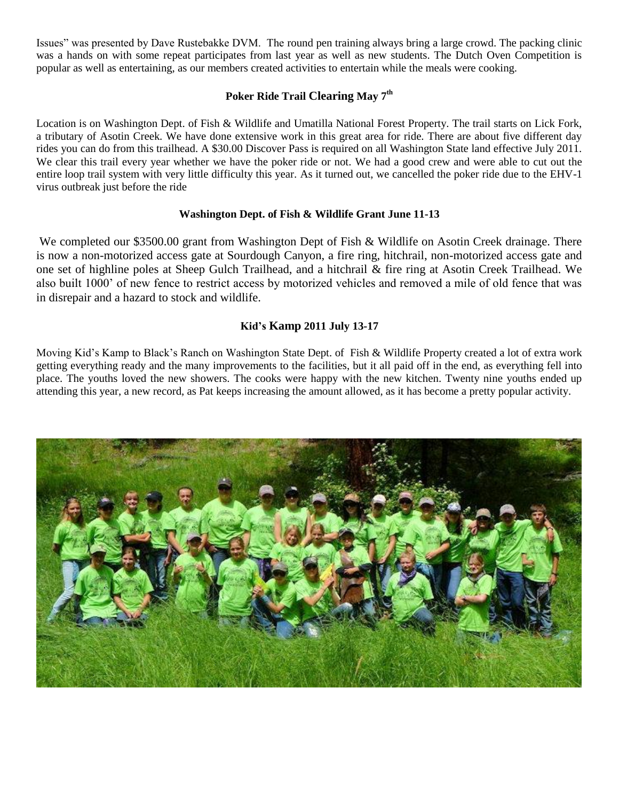Issues" was presented by Dave Rustebakke DVM. The round pen training always bring a large crowd. The packing clinic was a hands on with some repeat participates from last year as well as new students. The Dutch Oven Competition is popular as well as entertaining, as our members created activities to entertain while the meals were cooking.

## **Poker Ride Trail Clearing May 7th**

Location is on Washington Dept. of Fish & Wildlife and Umatilla National Forest Property. The trail starts on Lick Fork, a tributary of Asotin Creek. We have done extensive work in this great area for ride. There are about five different day rides you can do from this trailhead. A \$30.00 Discover Pass is required on all Washington State land effective July 2011. We clear this trail every year whether we have the poker ride or not. We had a good crew and were able to cut out the entire loop trail system with very little difficulty this year. As it turned out, we cancelled the poker ride due to the EHV-1 virus outbreak just before the ride

#### **Washington Dept. of Fish & Wildlife Grant June 11-13**

We completed our \$3500.00 grant from Washington Dept of Fish & Wildlife on Asotin Creek drainage. There is now a non-motorized access gate at Sourdough Canyon, a fire ring, hitchrail, non-motorized access gate and one set of highline poles at Sheep Gulch Trailhead, and a hitchrail & fire ring at Asotin Creek Trailhead. We also built 1000' of new fence to restrict access by motorized vehicles and removed a mile of old fence that was in disrepair and a hazard to stock and wildlife.

#### **Kid's Kamp 2011 July 13-17**

Moving Kid's Kamp to Black's Ranch on Washington State Dept. of Fish & Wildlife Property created a lot of extra work getting everything ready and the many improvements to the facilities, but it all paid off in the end, as everything fell into place. The youths loved the new showers. The cooks were happy with the new kitchen. Twenty nine youths ended up attending this year, a new record, as Pat keeps increasing the amount allowed, as it has become a pretty popular activity.

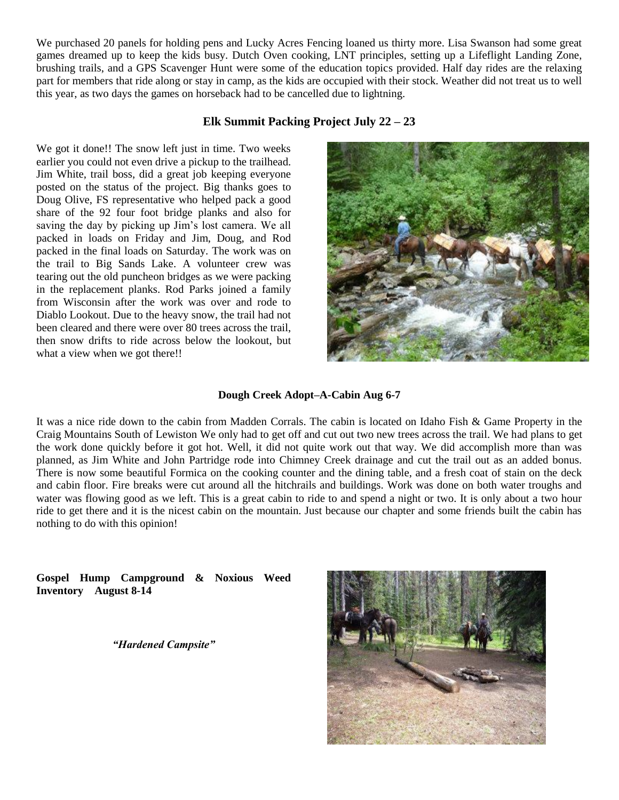We purchased 20 panels for holding pens and Lucky Acres Fencing loaned us thirty more. Lisa Swanson had some great games dreamed up to keep the kids busy. Dutch Oven cooking, LNT principles, setting up a Lifeflight Landing Zone, brushing trails, and a GPS Scavenger Hunt were some of the education topics provided. Half day rides are the relaxing part for members that ride along or stay in camp, as the kids are occupied with their stock. Weather did not treat us to well this year, as two days the games on horseback had to be cancelled due to lightning.

### **Elk Summit Packing Project July 22 – 23**

We got it done!! The snow left just in time. Two weeks earlier you could not even drive a pickup to the trailhead. Jim White, trail boss, did a great job keeping everyone posted on the status of the project. Big thanks goes to Doug Olive, FS representative who helped pack a good share of the 92 four foot bridge planks and also for saving the day by picking up Jim's lost camera. We all packed in loads on Friday and Jim, Doug, and Rod packed in the final loads on Saturday. The work was on the trail to Big Sands Lake. A volunteer crew was tearing out the old puncheon bridges as we were packing in the replacement planks. Rod Parks joined a family from Wisconsin after the work was over and rode to Diablo Lookout. Due to the heavy snow, the trail had not been cleared and there were over 80 trees across the trail, then snow drifts to ride across below the lookout, but what a view when we got there!!



#### **Dough Creek Adopt–A-Cabin Aug 6-7**

It was a nice ride down to the cabin from Madden Corrals. The cabin is located on Idaho Fish & Game Property in the Craig Mountains South of Lewiston We only had to get off and cut out two new trees across the trail. We had plans to get the work done quickly before it got hot. Well, it did not quite work out that way. We did accomplish more than was planned, as Jim White and John Partridge rode into Chimney Creek drainage and cut the trail out as an added bonus. There is now some beautiful Formica on the cooking counter and the dining table, and a fresh coat of stain on the deck and cabin floor. Fire breaks were cut around all the hitchrails and buildings. Work was done on both water troughs and water was flowing good as we left. This is a great cabin to ride to and spend a night or two. It is only about a two hour ride to get there and it is the nicest cabin on the mountain. Just because our chapter and some friends built the cabin has nothing to do with this opinion!

**Gospel Hump Campground & Noxious Weed Inventory August 8-14**

*"Hardened Campsite"*

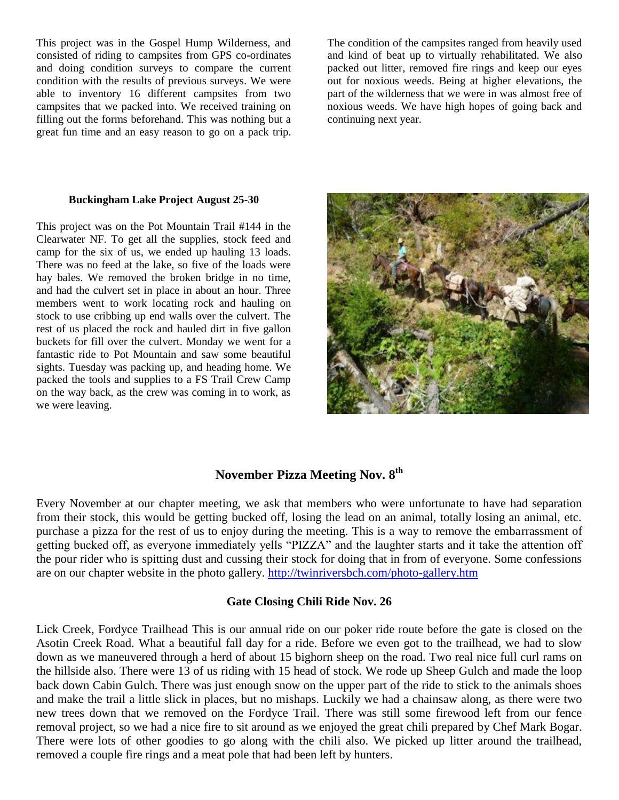This project was in the Gospel Hump Wilderness, and consisted of riding to campsites from GPS co-ordinates and doing condition surveys to compare the current condition with the results of previous surveys. We were able to inventory 16 different campsites from two campsites that we packed into. We received training on filling out the forms beforehand. This was nothing but a great fun time and an easy reason to go on a pack trip.

The condition of the campsites ranged from heavily used and kind of beat up to virtually rehabilitated. We also packed out litter, removed fire rings and keep our eyes out for noxious weeds. Being at higher elevations, the part of the wilderness that we were in was almost free of noxious weeds. We have high hopes of going back and continuing next year.

#### **Buckingham Lake Project August 25-30**

This project was on the Pot Mountain Trail #144 in the Clearwater NF. To get all the supplies, stock feed and camp for the six of us, we ended up hauling 13 loads. There was no feed at the lake, so five of the loads were hay bales. We removed the broken bridge in no time, and had the culvert set in place in about an hour. Three members went to work locating rock and hauling on stock to use cribbing up end walls over the culvert. The rest of us placed the rock and hauled dirt in five gallon buckets for fill over the culvert. Monday we went for a fantastic ride to Pot Mountain and saw some beautiful sights. Tuesday was packing up, and heading home. We packed the tools and supplies to a FS Trail Crew Camp on the way back, as the crew was coming in to work, as we were leaving.



## **November Pizza Meeting Nov. 8th**

Every November at our chapter meeting, we ask that members who were unfortunate to have had separation from their stock, this would be getting bucked off, losing the lead on an animal, totally losing an animal, etc. purchase a pizza for the rest of us to enjoy during the meeting. This is a way to remove the embarrassment of getting bucked off, as everyone immediately yells "PIZZA" and the laughter starts and it take the attention off the pour rider who is spitting dust and cussing their stock for doing that in from of everyone. Some confessions are on our chapter website in the photo gallery. <http://twinriversbch.com/photo-gallery.htm>

#### **Gate Closing Chili Ride Nov. 26**

Lick Creek, Fordyce Trailhead This is our annual ride on our poker ride route before the gate is closed on the Asotin Creek Road. What a beautiful fall day for a ride. Before we even got to the trailhead, we had to slow down as we maneuvered through a herd of about 15 bighorn sheep on the road. Two real nice full curl rams on the hillside also. There were 13 of us riding with 15 head of stock. We rode up Sheep Gulch and made the loop back down Cabin Gulch. There was just enough snow on the upper part of the ride to stick to the animals shoes and make the trail a little slick in places, but no mishaps. Luckily we had a chainsaw along, as there were two new trees down that we removed on the Fordyce Trail. There was still some firewood left from our fence removal project, so we had a nice fire to sit around as we enjoyed the great chili prepared by Chef Mark Bogar. There were lots of other goodies to go along with the chili also. We picked up litter around the trailhead, removed a couple fire rings and a meat pole that had been left by hunters.